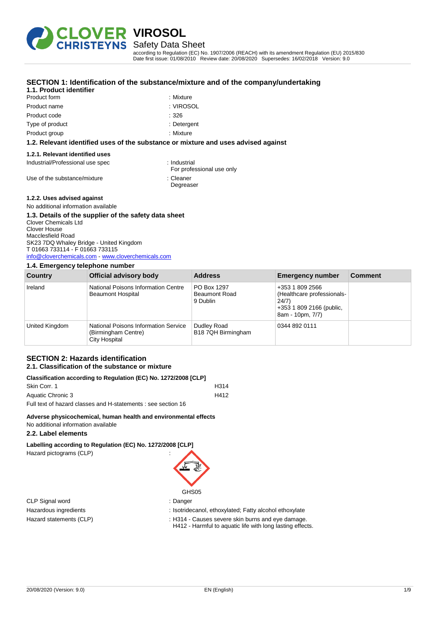

Safety Data Sheet

according to Regulation (EC) No. 1907/2006 (REACH) with its amendment Regulation (EU) 2015/830 Date first issue: 01/08/2010 Review date: 20/08/2020 Supersedes: 16/02/2018 Version: 9.0

| 1.1. Product identifier |             |
|-------------------------|-------------|
| Product form            | : Mixture   |
| Product name            | : VIROSOL   |
| Product code            | :326        |
| Type of product         | : Detergent |
| Product group           | : Mixture   |

## **SECTION 1: Identification of the substance/mixture and of the company/undertaking**

### **1.2. Relevant identified uses of the substance or mixture and uses advised against**

#### **1.2.1. Relevant identified uses**

Industrial/Professional use spec : Industrial

Use of the substance/mixture in the substance in the set of the substance in the set of the substance in the set of the set of the set of the set of the set of the set of the set of the set of the set of the set of the set

For professional use only

Degreaser

### **1.2.2. Uses advised against**

No additional information available

## **1.3. Details of the supplier of the safety data sheet**

Clover Chemicals Ltd Clover House Macclesfield Road SK23 7DQ Whaley Bridge - United Kingdom T 01663 733114 - F 01663 733115 [info@cloverchemicals.com](mailto:info@cloverchemicals.com) - <www.cloverchemicals.com>

### **1.4. Emergency telephone number**

| Country        | Official advisory body                                                       | <b>Address</b>                                  | <b>Emergency number</b>                                                                                | <b>Comment</b> |
|----------------|------------------------------------------------------------------------------|-------------------------------------------------|--------------------------------------------------------------------------------------------------------|----------------|
| Ireland        | National Poisons Information Centre<br><b>Beaumont Hospital</b>              | PO Box 1297<br><b>Beaumont Road</b><br>9 Dublin | +353 1 809 2566<br>(Healthcare professionals-<br>24/7)<br>+353 1 809 2166 (public,<br>8am - 10pm, 7/7) |                |
| United Kingdom | National Poisons Information Service<br>(Birmingham Centre)<br>City Hospital | Dudley Road<br>B18 7QH Birmingham               | 0344 892 0111                                                                                          |                |

#### **SECTION 2: Hazards identification 2.1. Classification of the substance or mixture**

|               |  |  |  | Classification according to Regulation (EC) No. 1272/2008 [CLP] |  |
|---------------|--|--|--|-----------------------------------------------------------------|--|
| $\sim$ $\sim$ |  |  |  |                                                                 |  |

| Skin Corr. 1                                                  | H314 |
|---------------------------------------------------------------|------|
| Aquatic Chronic 3                                             | H412 |
| Full text of hazard classes and H-statements : see section 16 |      |

# **Adverse physicochemical, human health and environmental effects**

No additional information available

# **2.2. Label elements**

**Labelling according to Regulation (EC) No. 1272/2008 [CLP]**

Hazard pictograms (CLP)



GHS05

- Hazardous ingredients : Isotridecanol, ethoxylated; Fatty alcohol ethoxylate
- Hazard statements (CLP) : H314 Causes severe skin burns and eye damage.
	- H412 Harmful to aquatic life with long lasting effects.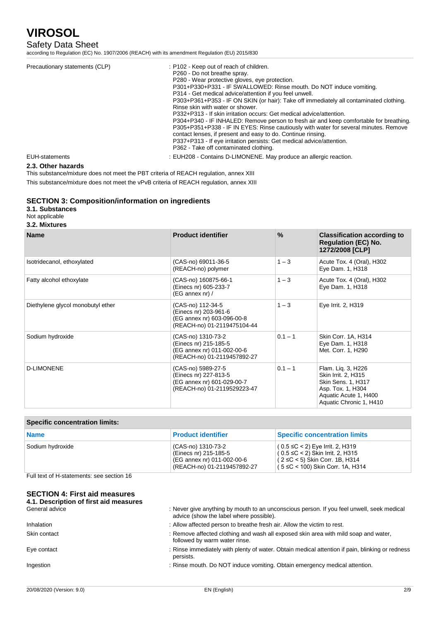## Safety Data Sheet

according to Regulation (EC) No. 1907/2006 (REACH) with its amendment Regulation (EU) 2015/830

| Precautionary statements (CLP) | : P102 - Keep out of reach of children.<br>P260 - Do not breathe spray.<br>P280 - Wear protective gloves, eve protection.<br>P301+P330+P331 - IF SWALLOWED: Rinse mouth. Do NOT induce vomiting.<br>P314 - Get medical advice/attention if you feel unwell.<br>P303+P361+P353 - IF ON SKIN (or hair): Take off immediately all contaminated clothing.<br>Rinse skin with water or shower.<br>P332+P313 - If skin irritation occurs: Get medical advice/attention.<br>P304+P340 - IF INHALED: Remove person to fresh air and keep comfortable for breathing.<br>P305+P351+P338 - IF IN EYES: Rinse cautiously with water for several minutes. Remove<br>contact lenses, if present and easy to do. Continue rinsing.<br>P337+P313 - If eye irritation persists: Get medical advice/attention.<br>P362 - Take off contaminated clothing. |
|--------------------------------|----------------------------------------------------------------------------------------------------------------------------------------------------------------------------------------------------------------------------------------------------------------------------------------------------------------------------------------------------------------------------------------------------------------------------------------------------------------------------------------------------------------------------------------------------------------------------------------------------------------------------------------------------------------------------------------------------------------------------------------------------------------------------------------------------------------------------------------|
| EUH-statements                 | : EUH208 - Contains D-LIMONENE. May produce an allergic reaction.                                                                                                                                                                                                                                                                                                                                                                                                                                                                                                                                                                                                                                                                                                                                                                      |

## **2.3. Other hazards**

This substance/mixture does not meet the PBT criteria of REACH regulation, annex XIII

This substance/mixture does not meet the vPvB criteria of REACH regulation, annex XIII

## **SECTION 3: Composition/information on ingredients**

### **3.1. Substances**

#### Not applicable

#### **3.2. Mixtures**

| <b>Name</b>                       | <b>Product identifier</b>                                                                                | $\frac{9}{6}$ | <b>Classification according to</b><br><b>Regulation (EC) No.</b><br>1272/2008 [CLP]                                                             |
|-----------------------------------|----------------------------------------------------------------------------------------------------------|---------------|-------------------------------------------------------------------------------------------------------------------------------------------------|
| Isotridecanol, ethoxylated        | (CAS-no) 69011-36-5<br>(REACH-no) polymer                                                                | $1 - 3$       | Acute Tox. 4 (Oral), H302<br>Eye Dam. 1, H318                                                                                                   |
| Fatty alcohol ethoxylate          | (CAS-no) 160875-66-1<br>(Einecs nr) 605-233-7<br>(EG annex nr) /                                         | $1 - 3$       | Acute Tox. 4 (Oral), H302<br>Eye Dam. 1, H318                                                                                                   |
| Diethylene glycol monobutyl ether | (CAS-no) 112-34-5<br>(Einecs nr) 203-961-6<br>(EG annex nr) 603-096-00-8<br>(REACH-no) 01-2119475104-44  | $1 - 3$       | Eye Irrit. 2, H319                                                                                                                              |
| Sodium hydroxide                  | (CAS-no) 1310-73-2<br>(Einecs nr) 215-185-5<br>(EG annex nr) 011-002-00-6<br>(REACH-no) 01-2119457892-27 | $0.1 - 1$     | Skin Corr. 1A, H314<br>Eye Dam. 1, H318<br>Met. Corr. 1, H290                                                                                   |
| <b>D-LIMONENE</b>                 | (CAS-no) 5989-27-5<br>(Einecs nr) 227-813-5<br>(EG annex nr) 601-029-00-7<br>(REACH-no) 01-2119529223-47 | $0.1 - 1$     | Flam. Lig. 3, H226<br>Skin Irrit. 2, H315<br><b>Skin Sens. 1, H317</b><br>Asp. Tox. 1, H304<br>Aquatic Acute 1, H400<br>Aquatic Chronic 1, H410 |

| <b>Specific concentration limits:</b> |                                                                                                          |                                                                                                                                                                   |  |
|---------------------------------------|----------------------------------------------------------------------------------------------------------|-------------------------------------------------------------------------------------------------------------------------------------------------------------------|--|
| <b>Name</b>                           | <b>Product identifier</b>                                                                                | <b>Specific concentration limits</b>                                                                                                                              |  |
| Sodium hydroxide                      | (CAS-no) 1310-73-2<br>(Einecs nr) 215-185-5<br>(EG annex nr) 011-002-00-6<br>(REACH-no) 01-2119457892-27 | $(0.5 \leq C < 2)$ Eye Irrit. 2, H319<br>$(0.5 \leq C < 2)$ Skin Irrit. 2, H315<br>$(2 \leq C < 5)$ Skin Corr. 1B, H314<br>$(5 \leq C < 100)$ Skin Corr. 1A, H314 |  |

Full text of H-statements: see section 16

## **SECTION 4: First aid measures**

**4.1. Description of first aid measures** : Never give anything by mouth to an unconscious person. If you feel unwell, seek medical advice (show the label where possible). Inhalation : Allow affected person to breathe fresh air. Allow the victim to rest. Skin contact states in the second of the move affected clothing and wash all exposed skin area with mild soap and water, followed by warm water rinse. Eye contact in the state of the immediately with plenty of water. Obtain medical attention if pain, blinking or redness persists. Ingestion **inducerties**: Rinse mouth. Do NOT induce vomiting. Obtain emergency medical attention.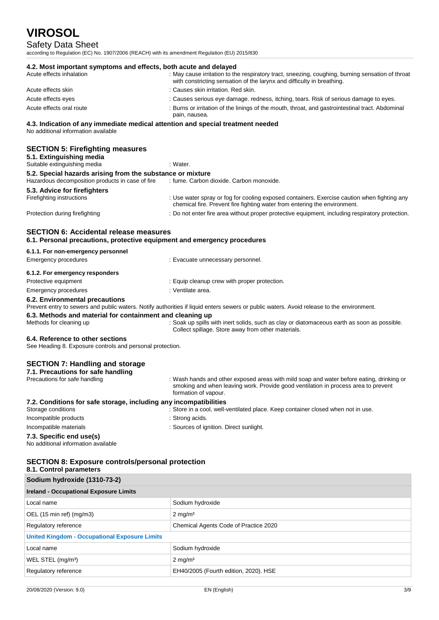# Safety Data Sheet

according to Regulation (EC) No. 1907/2006 (REACH) with its amendment Regulation (EU) 2015/830

| 4.2. Most important symptoms and effects, both acute and delayed<br>Acute effects inhalation                           | : May cause irritation to the respiratory tract, sneezing, coughing, burning sensation of throat<br>with constricting sensation of the larynx and difficulty in breathing.                             |
|------------------------------------------------------------------------------------------------------------------------|--------------------------------------------------------------------------------------------------------------------------------------------------------------------------------------------------------|
| Acute effects skin                                                                                                     | : Causes skin irritation. Red skin.                                                                                                                                                                    |
| Acute effects eyes                                                                                                     | : Causes serious eye damage. redness, itching, tears. Risk of serious damage to eyes.                                                                                                                  |
| Acute effects oral route                                                                                               | : Burns or irritation of the linings of the mouth, throat, and gastrointestinal tract. Abdominal<br>pain, nausea.                                                                                      |
| 4.3. Indication of any immediate medical attention and special treatment needed<br>No additional information available |                                                                                                                                                                                                        |
|                                                                                                                        |                                                                                                                                                                                                        |
| <b>SECTION 5: Firefighting measures</b><br>5.1. Extinguishing media                                                    |                                                                                                                                                                                                        |
| Suitable extinguishing media                                                                                           | : Water.                                                                                                                                                                                               |
| 5.2. Special hazards arising from the substance or mixture<br>Hazardous decomposition products in case of fire         | : fume. Carbon dioxide. Carbon monoxide.                                                                                                                                                               |
| 5.3. Advice for firefighters                                                                                           |                                                                                                                                                                                                        |
| Firefighting instructions                                                                                              | : Use water spray or fog for cooling exposed containers. Exercise caution when fighting any<br>chemical fire. Prevent fire fighting water from entering the environment.                               |
| Protection during firefighting                                                                                         | : Do not enter fire area without proper protective equipment, including respiratory protection.                                                                                                        |
| <b>SECTION 6: Accidental release measures</b>                                                                          |                                                                                                                                                                                                        |
| 6.1. Personal precautions, protective equipment and emergency procedures                                               |                                                                                                                                                                                                        |
| 6.1.1. For non-emergency personnel                                                                                     |                                                                                                                                                                                                        |
| <b>Emergency procedures</b>                                                                                            | : Evacuate unnecessary personnel.                                                                                                                                                                      |
| 6.1.2. For emergency responders                                                                                        |                                                                                                                                                                                                        |
| Protective equipment                                                                                                   | : Equip cleanup crew with proper protection.                                                                                                                                                           |
| <b>Emergency procedures</b>                                                                                            | : Ventilate area.                                                                                                                                                                                      |
| 6.2. Environmental precautions                                                                                         | Prevent entry to sewers and public waters. Notify authorities if liquid enters sewers or public waters. Avoid release to the environment.                                                              |
| 6.3. Methods and material for containment and cleaning up                                                              |                                                                                                                                                                                                        |
| Methods for cleaning up                                                                                                | : Soak up spills with inert solids, such as clay or diatomaceous earth as soon as possible.<br>Collect spillage. Store away from other materials.                                                      |
| 6.4. Reference to other sections<br>See Heading 8. Exposure controls and personal protection.                          |                                                                                                                                                                                                        |
| <b>SECTION 7: Handling and storage</b>                                                                                 |                                                                                                                                                                                                        |
| 7.1. Precautions for safe handling                                                                                     |                                                                                                                                                                                                        |
| Precautions for safe handling                                                                                          | : Wash hands and other exposed areas with mild soap and water before eating, drinking or<br>smoking and when leaving work. Provide good ventilation in process area to prevent<br>formation of vapour. |
| 7.2. Conditions for safe storage, including any incompatibilities                                                      |                                                                                                                                                                                                        |
| Storage conditions                                                                                                     | : Store in a cool, well-ventilated place. Keep container closed when not in use.                                                                                                                       |
| Incompatible products                                                                                                  | : Strong acids.                                                                                                                                                                                        |
| Incompatible materials                                                                                                 | : Sources of ignition. Direct sunlight.                                                                                                                                                                |
| 7.3. Specific end use(s)<br>No additional information available                                                        |                                                                                                                                                                                                        |
| <b>SECTION 8: Exposure controls/personal protection</b><br>8.1. Control parameters                                     |                                                                                                                                                                                                        |
| Sodium hydroxide (1310-73-2)                                                                                           |                                                                                                                                                                                                        |
| <b>Ireland - Occupational Exposure Limits</b>                                                                          |                                                                                                                                                                                                        |

| <b>Ireland - Occupational Exposure Limits</b>        |                                       |  |
|------------------------------------------------------|---------------------------------------|--|
| Local name                                           | Sodium hydroxide                      |  |
| OEL (15 min ref) (mg/m3)                             | $2 \text{ mg/m}^3$                    |  |
| Regulatory reference                                 | Chemical Agents Code of Practice 2020 |  |
| <b>United Kingdom - Occupational Exposure Limits</b> |                                       |  |
| Local name                                           | Sodium hydroxide                      |  |
| WEL STEL (mg/m <sup>3</sup> )                        | $2 \text{ mg/m}^3$                    |  |
| Regulatory reference                                 | EH40/2005 (Fourth edition, 2020). HSE |  |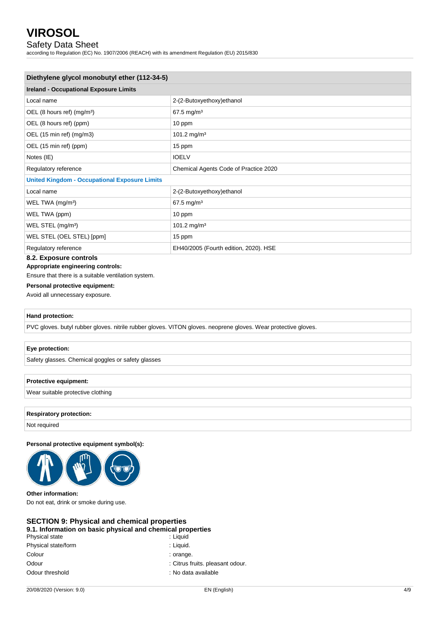## Safety Data Sheet

according to Regulation (EC) No. 1907/2006 (REACH) with its amendment Regulation (EU) 2015/830

| Diethylene glycol monobutyl ether (112-34-5)         |                                       |  |
|------------------------------------------------------|---------------------------------------|--|
| <b>Ireland - Occupational Exposure Limits</b>        |                                       |  |
| Local name                                           | 2-(2-Butoxyethoxy)ethanol             |  |
| OEL (8 hours ref) $(mg/m3)$                          | 67.5 mg/m <sup>3</sup>                |  |
| OEL (8 hours ref) (ppm)                              | 10 ppm                                |  |
| OEL (15 min ref) (mg/m3)                             | 101.2 mg/m <sup>3</sup>               |  |
| OEL (15 min ref) (ppm)                               | 15 ppm                                |  |
| Notes (IE)                                           | <b>IOELV</b>                          |  |
| Regulatory reference                                 | Chemical Agents Code of Practice 2020 |  |
| <b>United Kingdom - Occupational Exposure Limits</b> |                                       |  |
| Local name                                           | 2-(2-Butoxyethoxy) ethanol            |  |
| WEL TWA (mg/m <sup>3</sup> )                         | 67.5 mg/m <sup>3</sup>                |  |
| WEL TWA (ppm)                                        | 10 ppm                                |  |
| WEL STEL (mg/m <sup>3</sup> )                        | 101.2 mg/m <sup>3</sup>               |  |
| WEL STEL (OEL STEL) [ppm]                            | 15 ppm                                |  |
| Regulatory reference<br>---                          | EH40/2005 (Fourth edition, 2020). HSE |  |

## **8.2. Exposure controls**

**Appropriate engineering controls:**

Ensure that there is a suitable ventilation system.

## **Personal protective equipment:**

Avoid all unnecessary exposure.

### **Hand protection:**

PVC gloves. butyl rubber gloves. nitrile rubber gloves. VITON gloves. neoprene gloves. Wear protective gloves.

### **Eye protection:**

Safety glasses. Chemical goggles or safety glasses

### **Protective equipment:**

Wear suitable protective clothing

### **Respiratory protection:**

Not required

#### **Personal protective equipment symbol(s):**



#### **Other information:**

Do not eat, drink or smoke during use.

## **SECTION 9: Physical and chemical properties**

# **9.1. Information on basic physical and chemical properties**

| Physical state      | : Liguid                         |
|---------------------|----------------------------------|
| Physical state/form | : Liquid.                        |
| Colour              | : orange.                        |
| Odour               | : Citrus fruits. pleasant odour. |
| Odour threshold     | : No data available              |
|                     |                                  |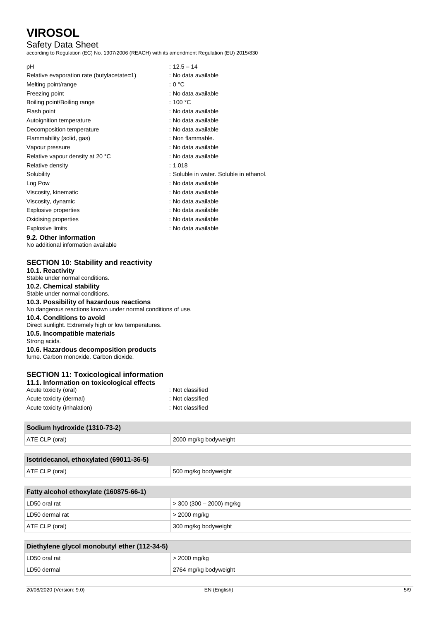# Safety Data Sheet

according to Regulation (EC) No. 1907/2006 (REACH) with its amendment Regulation (EU) 2015/830

| рH                                         | $: 12.5 - 14$                           |
|--------------------------------------------|-----------------------------------------|
| Relative evaporation rate (butylacetate=1) | : No data available                     |
| Melting point/range                        | : 0 °C                                  |
| Freezing point                             | : No data available                     |
| Boiling point/Boiling range                | : 100 $^{\circ}$ C                      |
| Flash point                                | : No data available                     |
| Autoignition temperature                   | : No data available                     |
| Decomposition temperature                  | : No data available                     |
| Flammability (solid, gas)                  | : Non flammable.                        |
| Vapour pressure                            | : No data available                     |
| Relative vapour density at 20 °C           | : No data available                     |
| Relative density                           | : 1.018                                 |
| Solubility                                 | : Soluble in water. Soluble in ethanol. |
| Log Pow                                    | : No data available                     |
| Viscosity, kinematic                       | : No data available                     |
| Viscosity, dynamic                         | : No data available                     |
| Explosive properties                       | : No data available                     |
| Oxidising properties                       | : No data available                     |
| <b>Explosive limits</b>                    | : No data available                     |

## **9.2. Other information**

No additional information available

# **SECTION 10: Stability and reactivity**

| <b>SLCTION TO. Stability and reactivity</b>                                 |                  |  |
|-----------------------------------------------------------------------------|------------------|--|
| 10.1. Reactivity                                                            |                  |  |
| Stable under normal conditions.                                             |                  |  |
| 10.2. Chemical stability                                                    |                  |  |
| Stable under normal conditions.<br>10.3. Possibility of hazardous reactions |                  |  |
|                                                                             |                  |  |
| 10.4. Conditions to avoid                                                   |                  |  |
| Direct sunlight. Extremely high or low temperatures.                        |                  |  |
| 10.5. Incompatible materials                                                |                  |  |
| Strong acids.                                                               |                  |  |
| 10.6. Hazardous decomposition products                                      |                  |  |
| fume. Carbon monoxide. Carbon dioxide.                                      |                  |  |
|                                                                             |                  |  |
| <b>SECTION 11: Toxicological information</b>                                |                  |  |
| 11.1. Information on toxicological effects                                  |                  |  |
| Acute toxicity (oral)                                                       | : Not classified |  |
| .                                                                           |                  |  |

| Acute toxicity (dermal)     | : Not classified |
|-----------------------------|------------------|
| Acute toxicity (inhalation) | : Not classified |

## **Sodium hydroxide (1310-73-2)**

ATE CLP (oral) 2000 mg/kg bodyweight

| Isotridecanol, ethoxylated (69011-36-5) |                      |
|-----------------------------------------|----------------------|
| ATE CLP (oral)                          | 500 mg/kg bodyweight |
|                                         |                      |

| Fatty alcohol ethoxylate (160875-66-1) |                          |
|----------------------------------------|--------------------------|
| LD50 oral rat                          | > 300 (300 – 2000) mg/kg |
| l LD50 dermal rat                      | > 2000 mg/kg             |
| ATE CLP (oral)                         | 300 mg/kg bodyweight     |

| Diethylene glycol monobutyl ether (112-34-5) |                       |
|----------------------------------------------|-----------------------|
| LD50 oral rat                                | $>$ 2000 mg/kg        |
| LD50 dermal                                  | 2764 mg/kg bodyweight |
|                                              |                       |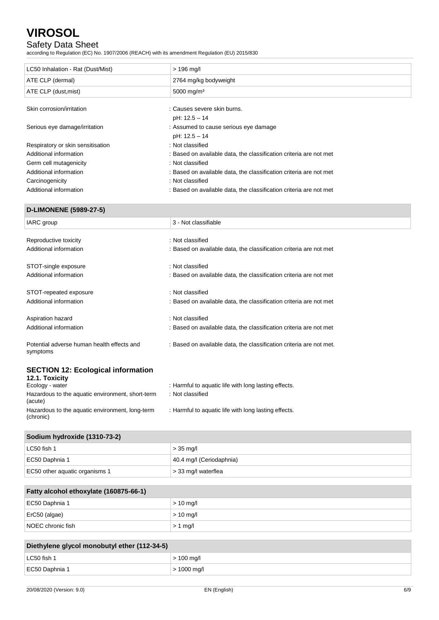# Safety Data Sheet

according to Regulation (EC) No. 1907/2006 (REACH) with its amendment Regulation (EU) 2015/830

| LC50 Inhalation - Rat (Dust/Mist) | $> 196$ mg/l                                                       |
|-----------------------------------|--------------------------------------------------------------------|
| ATE CLP (dermal)                  | 2764 mg/kg bodyweight                                              |
| ATE CLP (dust, mist)              | 5000 mg/m <sup>3</sup>                                             |
|                                   |                                                                    |
| Skin corrosion/irritation         | : Causes severe skin burns.                                        |
|                                   | pH: 12.5 - 14                                                      |
| Serious eye damage/irritation     | : Assumed to cause serious eye damage                              |
|                                   | pH: 12.5 - 14                                                      |
| Respiratory or skin sensitisation | : Not classified                                                   |
| Additional information            | : Based on available data, the classification criteria are not met |
| Germ cell mutagenicity            | : Not classified                                                   |
| Additional information            | : Based on available data, the classification criteria are not met |
| Carcinogenicity                   | : Not classified                                                   |
| Additional information            | : Based on available data, the classification criteria are not met |

### **D-LIMONENE (5989-27-5)**

| IARC group                                             | 3 - Not classifiable                                                |
|--------------------------------------------------------|---------------------------------------------------------------------|
|                                                        |                                                                     |
| Reproductive toxicity                                  | : Not classified                                                    |
| Additional information                                 | : Based on available data, the classification criteria are not met  |
| STOT-single exposure                                   | : Not classified                                                    |
| Additional information                                 | : Based on available data, the classification criteria are not met  |
| STOT-repeated exposure                                 | : Not classified                                                    |
| Additional information                                 | : Based on available data, the classification criteria are not met  |
| Aspiration hazard                                      | : Not classified                                                    |
| Additional information                                 | : Based on available data, the classification criteria are not met  |
| Potential adverse human health effects and<br>symptoms | : Based on available data, the classification criteria are not met. |

## **SECTION 12: Ecological information**

| 12.1. Toxicity                                               |                                                      |
|--------------------------------------------------------------|------------------------------------------------------|
| Ecology - water                                              | : Harmful to aquatic life with long lasting effects. |
| Hazardous to the aquatic environment, short-term<br>(acute)  | : Not classified                                     |
| Hazardous to the aquatic environment, long-term<br>(chronic) | : Harmful to aquatic life with long lasting effects. |

## **Sodium hydroxide (1310-73-2)**

| ∣ LC50 fish 1                  | $>$ 35 mg/l              |
|--------------------------------|--------------------------|
| EC50 Daphnia 1                 | 40.4 mg/l (Ceriodaphnia) |
| EC50 other aquatic organisms 1 | s 33 mg/l waterflea      |

| Fatty alcohol ethoxylate (160875-66-1) |             |
|----------------------------------------|-------------|
| EC50 Daphnia 1                         | $> 10$ mg/l |
| ErC50 (algae)                          | $> 10$ mg/l |
| NOEC chronic fish                      | $> 1$ mg/l  |

| Diethylene glycol monobutyl ether (112-34-5) |                     |
|----------------------------------------------|---------------------|
| ∣ LC50 fish 1                                | $>$ 100 mg/l        |
| EC50 Daphnia 1                               | $\vert$ > 1000 mg/l |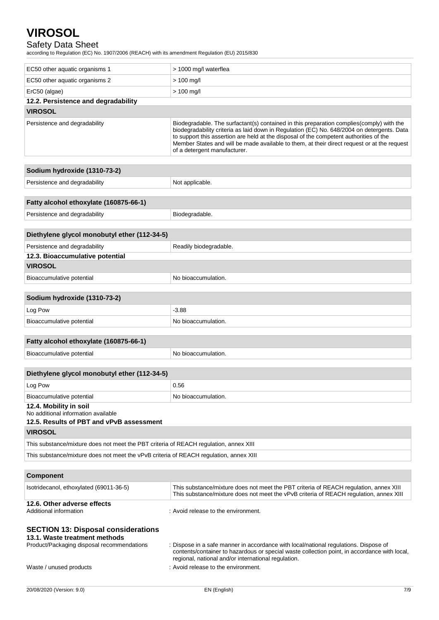# Safety Data Sheet

according to Regulation (EC) No. 1907/2006 (REACH) with its amendment Regulation (EU) 2015/830

| EC50 other aquatic organisms 1                                                                                                                       | > 1000 mg/l waterflea                                                                                                                                                                                                                                                                                                                                                                                            |  |
|------------------------------------------------------------------------------------------------------------------------------------------------------|------------------------------------------------------------------------------------------------------------------------------------------------------------------------------------------------------------------------------------------------------------------------------------------------------------------------------------------------------------------------------------------------------------------|--|
| EC50 other aquatic organisms 2                                                                                                                       | $> 100$ mg/l                                                                                                                                                                                                                                                                                                                                                                                                     |  |
| ErC50 (algae)                                                                                                                                        | $> 100$ mg/l                                                                                                                                                                                                                                                                                                                                                                                                     |  |
| 12.2. Persistence and degradability                                                                                                                  |                                                                                                                                                                                                                                                                                                                                                                                                                  |  |
| <b>VIROSOL</b>                                                                                                                                       |                                                                                                                                                                                                                                                                                                                                                                                                                  |  |
| Persistence and degradability                                                                                                                        | Biodegradable. The surfactant(s) contained in this preparation complies (comply) with the<br>biodegradability criteria as laid down in Regulation (EC) No. 648/2004 on detergents. Data<br>to support this assertion are held at the disposal of the competent authorities of the<br>Member States and will be made available to them, at their direct request or at the request<br>of a detergent manufacturer. |  |
| Sodium hydroxide (1310-73-2)                                                                                                                         |                                                                                                                                                                                                                                                                                                                                                                                                                  |  |
| Persistence and degradability                                                                                                                        | Not applicable.                                                                                                                                                                                                                                                                                                                                                                                                  |  |
|                                                                                                                                                      |                                                                                                                                                                                                                                                                                                                                                                                                                  |  |
| Fatty alcohol ethoxylate (160875-66-1)                                                                                                               |                                                                                                                                                                                                                                                                                                                                                                                                                  |  |
| Persistence and degradability                                                                                                                        | Biodegradable.                                                                                                                                                                                                                                                                                                                                                                                                   |  |
|                                                                                                                                                      |                                                                                                                                                                                                                                                                                                                                                                                                                  |  |
| Diethylene glycol monobutyl ether (112-34-5)                                                                                                         |                                                                                                                                                                                                                                                                                                                                                                                                                  |  |
| Persistence and degradability                                                                                                                        | Readily biodegradable.                                                                                                                                                                                                                                                                                                                                                                                           |  |
| 12.3. Bioaccumulative potential                                                                                                                      |                                                                                                                                                                                                                                                                                                                                                                                                                  |  |
| <b>VIROSOL</b>                                                                                                                                       |                                                                                                                                                                                                                                                                                                                                                                                                                  |  |
| Bioaccumulative potential                                                                                                                            | No bioaccumulation.                                                                                                                                                                                                                                                                                                                                                                                              |  |
|                                                                                                                                                      |                                                                                                                                                                                                                                                                                                                                                                                                                  |  |
| Sodium hydroxide (1310-73-2)                                                                                                                         |                                                                                                                                                                                                                                                                                                                                                                                                                  |  |
| Log Pow                                                                                                                                              | $-3.88$                                                                                                                                                                                                                                                                                                                                                                                                          |  |
| Bioaccumulative potential                                                                                                                            | No bioaccumulation.                                                                                                                                                                                                                                                                                                                                                                                              |  |
| Fatty alcohol ethoxylate (160875-66-1)                                                                                                               |                                                                                                                                                                                                                                                                                                                                                                                                                  |  |
| Bioaccumulative potential                                                                                                                            |                                                                                                                                                                                                                                                                                                                                                                                                                  |  |
|                                                                                                                                                      | No bioaccumulation.                                                                                                                                                                                                                                                                                                                                                                                              |  |
| Diethylene glycol monobutyl ether (112-34-5)                                                                                                         |                                                                                                                                                                                                                                                                                                                                                                                                                  |  |
| Log Pow                                                                                                                                              | 0.56                                                                                                                                                                                                                                                                                                                                                                                                             |  |
| Bioaccumulative potential                                                                                                                            | No bioaccumulation.                                                                                                                                                                                                                                                                                                                                                                                              |  |
| 12.4. Mobility in soil<br>No additional information available<br>12.5. Results of PBT and vPvB assessment                                            |                                                                                                                                                                                                                                                                                                                                                                                                                  |  |
| <b>VIROSOL</b>                                                                                                                                       |                                                                                                                                                                                                                                                                                                                                                                                                                  |  |
| This substance/mixture does not meet the PBT criteria of REACH regulation, annex XIII                                                                |                                                                                                                                                                                                                                                                                                                                                                                                                  |  |
| This substance/mixture does not meet the vPvB criteria of REACH regulation, annex XIII                                                               |                                                                                                                                                                                                                                                                                                                                                                                                                  |  |
|                                                                                                                                                      |                                                                                                                                                                                                                                                                                                                                                                                                                  |  |
| <b>Component</b>                                                                                                                                     |                                                                                                                                                                                                                                                                                                                                                                                                                  |  |
| Isotridecanol, ethoxylated (69011-36-5)                                                                                                              | This substance/mixture does not meet the PBT criteria of REACH regulation, annex XIII<br>This substance/mixture does not meet the vPvB criteria of REACH regulation, annex XIII                                                                                                                                                                                                                                  |  |
| 12.6. Other adverse effects<br>Additional information                                                                                                | : Avoid release to the environment.                                                                                                                                                                                                                                                                                                                                                                              |  |
| <b>SECTION 13: Disposal considerations</b><br>13.1. Waste treatment methods<br>Product/Packaging disposal recommendations<br>Waste / unused products | : Dispose in a safe manner in accordance with local/national regulations. Dispose of<br>contents/container to hazardous or special waste collection point, in accordance with local,<br>regional, national and/or international regulation.<br>: Avoid release to the environment.                                                                                                                               |  |
|                                                                                                                                                      |                                                                                                                                                                                                                                                                                                                                                                                                                  |  |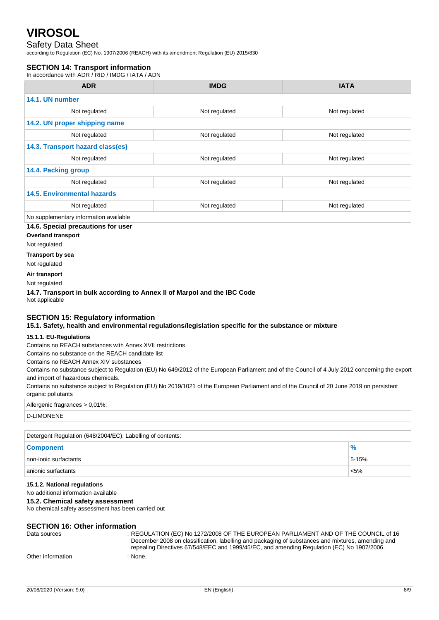## Safety Data Sheet

according to Regulation (EC) No. 1907/2006 (REACH) with its amendment Regulation (EU) 2015/830

## **SECTION 14: Transport information**

In accordance with ADR / RID / IMDG / IATA / ADN

| <b>ADR</b>                             | <b>IMDG</b>   | <b>IATA</b>   |
|----------------------------------------|---------------|---------------|
| 14.1. UN number                        |               |               |
| Not regulated                          | Not regulated | Not regulated |
| 14.2. UN proper shipping name          |               |               |
| Not regulated                          | Not regulated | Not regulated |
| 14.3. Transport hazard class(es)       |               |               |
| Not regulated                          | Not regulated | Not regulated |
| 14.4. Packing group                    |               |               |
| Not regulated                          | Not regulated | Not regulated |
| <b>14.5. Environmental hazards</b>     |               |               |
| Not regulated                          | Not regulated | Not regulated |
| No supplementary information available |               |               |

## **14.6. Special precautions for user**

**Overland transport**

Not regulated

**Transport by sea**

Not regulated

**Air transport**

Not regulated

**14.7. Transport in bulk according to Annex II of Marpol and the IBC Code** Not applicable

### **SECTION 15: Regulatory information**

**15.1. Safety, health and environmental regulations/legislation specific for the substance or mixture**

### **15.1.1. EU-Regulations**

Contains no REACH substances with Annex XVII restrictions

Contains no substance on the REACH candidate list

Contains no REACH Annex XIV substances

Contains no substance subject to Regulation (EU) No 649/2012 of the European Parliament and of the Council of 4 July 2012 concerning the export and import of hazardous chemicals.

Contains no substance subject to Regulation (EU) No 2019/1021 of the European Parliament and of the Council of 20 June 2019 on persistent organic pollutants

## Allergenic fragrances > 0,01%:

D-LIMONENE

| Detergent Regulation (648/2004/EC): Labelling of contents: |               |  |
|------------------------------------------------------------|---------------|--|
| <b>Component</b>                                           | $\frac{9}{6}$ |  |
| non-ionic surfactants                                      | 5-15%         |  |
| anionic surfactants                                        | $< 5\%$       |  |

### **15.1.2. National regulations**

No additional information available

#### **15.2. Chemical safety assessment**

No chemical safety assessment has been carried out

### **SECTION 16: Other information**

| Data sources      | : REGULATION (EC) No 1272/2008 OF THE EUROPEAN PARLIAMENT AND OF THE COUNCIL of 16                |
|-------------------|---------------------------------------------------------------------------------------------------|
|                   | December 2008 on classification, labelling and packaging of substances and mixtures, amending and |
|                   | repealing Directives 67/548/EEC and 1999/45/EC, and amending Regulation (EC) No 1907/2006.        |
| Other information | · None.                                                                                           |